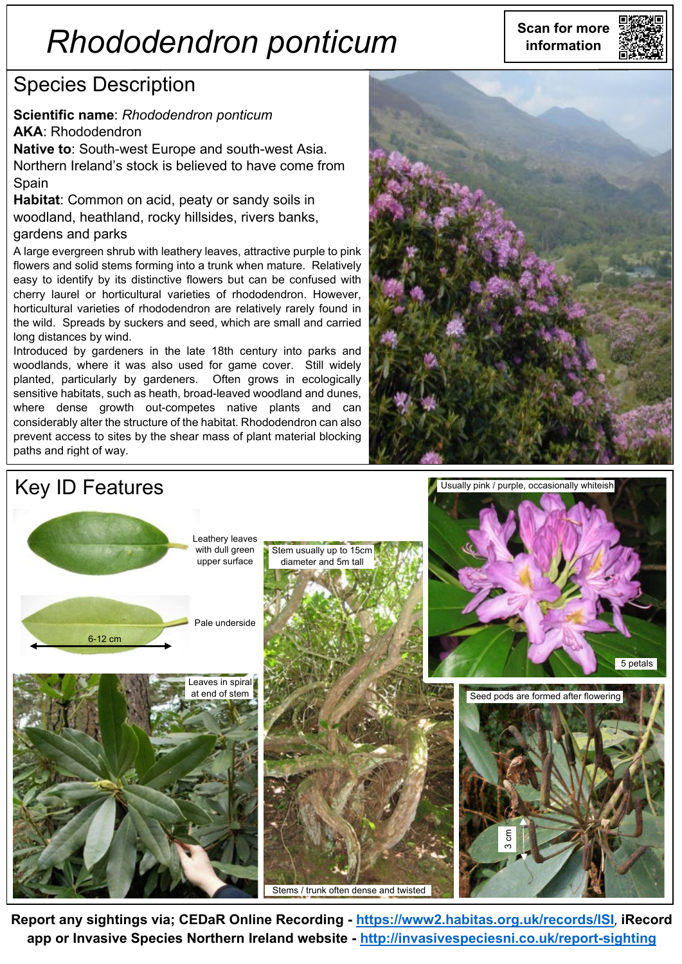# **Scan for more** *Rhododendron ponticum* **information**

## Species Description

**Scientific name**: *Rhododendron ponticum* **AKA**: Rhododendron

**Native to**: South-west Europe and south-west Asia. Northern Ireland's stock is believed to have come from Spain

**Habitat**: Common on acid, peaty or sandy soils in woodland, heathland, rocky hillsides, rivers banks, gardens and parks

A large evergreen shrub with leathery leaves, attractive purple to pink flowers and solid stems forming into a trunk when mature. Relatively easy to identify by its distinctive flowers but can be confused with cherry laurel or horticultural varieties of rhododendron. However, horticultural varieties of rhododendron are relatively rarely found in the wild. Spreads by suckers and seed, which are small and carried long distances by wind.

Introduced by gardeners in the late 18th century into parks and woodlands, where it was also used for game cover. Still widely planted, particularly by gardeners. Often grows in ecologically sensitive habitats, such as heath, broad-leaved woodland and dunes, where dense growth out-competes native plants and can considerably alter the structure of the habitat. Rhododendron can also prevent access to sites by the shear mass of plant material blocking paths and right of way.





**Report any sightings via; CEDaR Online Recording - <https://www2.habitas.org.uk/records/ISI>**, **iRecord app or Invasive Species Northern Ireland website - <http://invasivespeciesni.co.uk/report-sighting>**